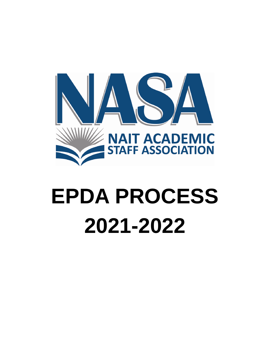

# **EPDA PROCESS 2021-2022**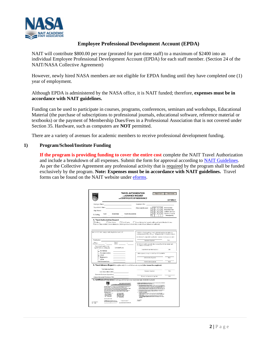

# **Employee Professional Development Account (EPDA)**

NAIT will contribute \$800.00 per year (prorated for part-time staff) to a maximum of \$2400 into an individual Employee Professional Development Account (EPDA) for each staff member. (Section 24 of the NAIT/NASA Collective Agreement)

However, newly hired NASA members are not eligible for EPDA funding until they have completed one (1) year of employment.

Although EPDA is administered by the NASA office, it is NAIT funded; therefore, **expenses must be in accordance with NAIT guidelines.**

Funding can be used to participate in courses, programs, conferences, seminars and workshops, Educational Material (the purchase of subscriptions to professional journals, educational software, reference material or textbooks) or the payment of Membership Dues/Fees in a Professional Association that is not covered under Section 35. Hardware, such as computers are **NOT** permitted.

There are a variety of avenues for academic members to receive professional development funding.

## **1) Program/School/Institute Funding**

**If the program is providing funding to cover the entire cost** complete the NAIT Travel Authorization and include a breakdown of all expenses. Submit the form for approval according to [NAIT Guidelines.](https://naitca.sharepoint.com/sites/pd/_layouts/15/WopiFrame.aspx?sourcedoc=%7B94214167-A907-468D-93E2-BE0605847613%7D&file=Travel%20on%20NAIT%20Business.doc&action=default&DefaultItemOpen=1) As per the Collective Agreement any professional activity that is required by the program shall be funded exclusively by the program. **Note: Expenses must be in accordance with NAIT guidelines.** Travel forms can be found on the NAIT website under [eforms.](https://naitca.sharepoint.com/sites/staffsearch/Pages/results.aspx?k=travel%20authorization%20form)

|                                                                                                                                                                                                                                                                                                                                                                                                                                                                                                                                                                                                                                                                                                                                                                                                                                                                                                                                                                                                 | <b>TRAVEL AUTHORIZATION</b><br>and ADVANCE REQUEST<br><b>AND CERTIFICATE OF INSURANCE</b>                                                                                                                                                                                                                                                                                                                                                                                                                                      | <b>Reset Form</b>                                                                                                                                                                                                                                                                                                                               | Print Form<br><b>EXPENSE 1</b>                                    |
|-------------------------------------------------------------------------------------------------------------------------------------------------------------------------------------------------------------------------------------------------------------------------------------------------------------------------------------------------------------------------------------------------------------------------------------------------------------------------------------------------------------------------------------------------------------------------------------------------------------------------------------------------------------------------------------------------------------------------------------------------------------------------------------------------------------------------------------------------------------------------------------------------------------------------------------------------------------------------------------------------|--------------------------------------------------------------------------------------------------------------------------------------------------------------------------------------------------------------------------------------------------------------------------------------------------------------------------------------------------------------------------------------------------------------------------------------------------------------------------------------------------------------------------------|-------------------------------------------------------------------------------------------------------------------------------------------------------------------------------------------------------------------------------------------------------------------------------------------------------------------------------------------------|-------------------------------------------------------------------|
| Employee Name                                                                                                                                                                                                                                                                                                                                                                                                                                                                                                                                                                                                                                                                                                                                                                                                                                                                                                                                                                                   | Employee ID #                                                                                                                                                                                                                                                                                                                                                                                                                                                                                                                  |                                                                                                                                                                                                                                                                                                                                                 |                                                                   |
| Supervisor's Name<br>Dept. Name                                                                                                                                                                                                                                                                                                                                                                                                                                                                                                                                                                                                                                                                                                                                                                                                                                                                                                                                                                 | Check one Account:                                                                                                                                                                                                                                                                                                                                                                                                                                                                                                             | $10^{10}$<br>5<br>5<br>ô.<br>5<br>5<br>$\overline{0}$<br>$\overline{\mathbf{z}}$<br>Τū<br>Γo<br>5<br>ī<br>4<br>$\overline{\mathbf{5}}$                                                                                                                                                                                                          | <b>Travel General</b><br>Travel Field Trips<br>Staff Dev. Sem/Con |
| Fund<br>Department<br>GL Coding                                                                                                                                                                                                                                                                                                                                                                                                                                                                                                                                                                                                                                                                                                                                                                                                                                                                                                                                                                 | Project (if applicable)                                                                                                                                                                                                                                                                                                                                                                                                                                                                                                        | 3<br>$\overline{6}$<br>$\overline{4}$<br>$\overline{0}$<br>1                                                                                                                                                                                                                                                                                    | Staff Dev. Academic<br>Other (specify)                            |
| A. Travel Authorization Request<br><b>Thin Alberta</b><br>Gutol Alberta<br>Outdounty<br>Purpose of Trip and other relevant information (attach agenda and relevant documently) if space below is not sufficient):<br>that research incidentlands an applayer takes the search is a zero.                                                                                                                                                                                                                                                                                                                                                                                                                                                                                                                                                                                                                                                                                                        | Persone business/amily ease formellibe combined with institute Dusiness<br>To the bost of my knowledge tom the only WAT employee attending this<br>conference/erent: YES __ NO __ IFNO, provide details in the box to the left.                                                                                                                                                                                                                                                                                                |                                                                                                                                                                                                                                                                                                                                                 |                                                                   |
|                                                                                                                                                                                                                                                                                                                                                                                                                                                                                                                                                                                                                                                                                                                                                                                                                                                                                                                                                                                                 | Loutfy that this request for takehor NA Louisians is for the paramericand.                                                                                                                                                                                                                                                                                                                                                                                                                                                     |                                                                                                                                                                                                                                                                                                                                                 |                                                                   |
| Destination                                                                                                                                                                                                                                                                                                                                                                                                                                                                                                                                                                                                                                                                                                                                                                                                                                                                                                                                                                                     | Employee Square                                                                                                                                                                                                                                                                                                                                                                                                                                                                                                                |                                                                                                                                                                                                                                                                                                                                                 | Date                                                              |
| <b>Date of</b><br>Deterni<br>×<br>7<br>Departure.<br>Both and<br>Check only if pairf directly                                                                                                                                                                                                                                                                                                                                                                                                                                                                                                                                                                                                                                                                                                                                                                                                                                                                                                   | Archolle to travel is granted to the above, and hoe divitant postget rurals<br>an walkish to contributors.                                                                                                                                                                                                                                                                                                                                                                                                                     |                                                                                                                                                                                                                                                                                                                                                 |                                                                   |
| <b>Estimated Costs</b><br>by NAIT (that is, not by you).<br>Air/Vehicle                                                                                                                                                                                                                                                                                                                                                                                                                                                                                                                                                                                                                                                                                                                                                                                                                                                                                                                         | Department hupervisor higharum                                                                                                                                                                                                                                                                                                                                                                                                                                                                                                 |                                                                                                                                                                                                                                                                                                                                                 | Total                                                             |
| Accommodation<br>Meals<br>Registration                                                                                                                                                                                                                                                                                                                                                                                                                                                                                                                                                                                                                                                                                                                                                                                                                                                                                                                                                          | surface appease, as may be required per Decision Marke                                                                                                                                                                                                                                                                                                                                                                                                                                                                         |                                                                                                                                                                                                                                                                                                                                                 |                                                                   |
| Other<br><b>Total Estimated Costs</b>                                                                                                                                                                                                                                                                                                                                                                                                                                                                                                                                                                                                                                                                                                                                                                                                                                                                                                                                                           | Authoritation Stonature                                                                                                                                                                                                                                                                                                                                                                                                                                                                                                        |                                                                                                                                                                                                                                                                                                                                                 | Date:                                                             |
| B. Travel Advance Request (Complete only if a travel Advance is required) (Part A must be completed)                                                                                                                                                                                                                                                                                                                                                                                                                                                                                                                                                                                                                                                                                                                                                                                                                                                                                            | Authorization Septature                                                                                                                                                                                                                                                                                                                                                                                                                                                                                                        |                                                                                                                                                                                                                                                                                                                                                 | <b>Date</b>                                                       |
| <b>Total Estimated Costs</b>                                                                                                                                                                                                                                                                                                                                                                                                                                                                                                                                                                                                                                                                                                                                                                                                                                                                                                                                                                    | Engineer Squature                                                                                                                                                                                                                                                                                                                                                                                                                                                                                                              |                                                                                                                                                                                                                                                                                                                                                 | Dani                                                              |
| <b>Loss: Direct Billed to NAIT</b><br>Estimated Employee Expenditure                                                                                                                                                                                                                                                                                                                                                                                                                                                                                                                                                                                                                                                                                                                                                                                                                                                                                                                            |                                                                                                                                                                                                                                                                                                                                                                                                                                                                                                                                |                                                                                                                                                                                                                                                                                                                                                 |                                                                   |
| Advance Requested Waximum 75%!                                                                                                                                                                                                                                                                                                                                                                                                                                                                                                                                                                                                                                                                                                                                                                                                                                                                                                                                                                  | Department Supervisor Signature                                                                                                                                                                                                                                                                                                                                                                                                                                                                                                |                                                                                                                                                                                                                                                                                                                                                 | Deter                                                             |
| C. Certificate of Insurance (if renting a vehicle, have your supervisor sign, retain during travel)<br><b>CERTIFICATE OF INSURANCE</b><br>AUTOMOBILE COLLISION AND ALL PERILS DOVE "AER<br>sacratica records for half several to construct and such parts, which democratic<br>As reports detaillier. Constant applies in Gausticae (Continuati 18.8 may<br>The improvements of the interest stores will apply to all starting work the relationships as a state of the con-<br>the recovering remoted assessing can show to reported to the second process. For<br>WAT the wind Administration of the VAT's because before the incrementation for the p<br>Coracte per sa follows<br>- 1932 - 1934 Animalis - 1934 - 1934 Animalis<br>- 1934 - 1934 Animalis - 1934<br>- 1935 - 1935 Animalis - 1935<br>- 1935 - 1935 Animalis - 1935<br>Mail Account Manager<br>Main Caracter Manager<br>Main Linux, 1998<br>Main Linux (2021-02-455)<br>Main Linux (2021-02-455)<br>Main Linux (2021-02-455) | INSTRUCTIONS TO EMPLOYEES WHO LEAST OF RENT VAHIOLES FOR AUTHORIZED SUSPENDED TO<br>L. When resting when together is the constant of the transport of the constant of the constant of the constant of the constant of the constant of the constant of the constant of the constant of the constant of the constan<br>$\ell$ . Always inspect the set is a set it as the inside process of any collection of the set is an analysis of the set of the set of the set of the<br>5. In the event of an excitem:<br>public inquire | * separative words of butter boaring conservative separative accuracing part<br>* separative continue butter MATT into altern Address arms, a basis and complete a MATT<br>- provided to ideas agreemy with a support the first term and us to the collect that<br>- have the specular single to come the surface of the demaps with the monoto |                                                                   |
| DOMESTIC PROPERTINGS<br>2490 923 230 921<br>is a high capture which we have to go.<br>Announced with the men during he points<br>el completed to<br>FEAR ASTRACTORE IN PERSONAL REM<br>$-12$<br>out Case                                                                                                                                                                                                                                                                                                                                                                                                                                                                                                                                                                                                                                                                                                                                                                                        | <b>MACCHE</b><br>THE AVERE                                                                                                                                                                                                                                                                                                                                                                                                                                                                                                     |                                                                                                                                                                                                                                                                                                                                                 |                                                                   |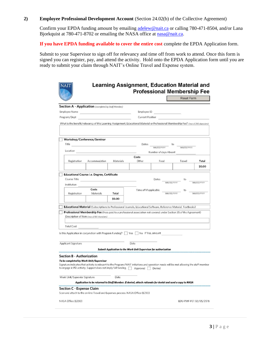## **2) Employee Professional Development Account** (Section 24.02(b) of the Collective Agreement)

Confirm your EPDA funding amount by emailing [adelew@nait.ca](mailto:adelew@nait.ca) or calling 780-471-8504, and/or Lana Bjorkquist at 780-471-8702 or emailing the NASA office at [nasa@nait.ca.](mailto:nasa@nait.ca)

**If you have EPDA funding available to cover the entire cost** complete the EPDA Application form.

Submit to your Supervisor to sign off for relevancy and time off from work to attend. Once this form is signed you can register, pay, and attend the activity. Hold onto the EPDA Application form until you are ready to submit your claim through NAIT's Online Travel and Expense system.

|                                         |                                                                                                                                                                                                                               |           |                                                                  |                       | <b>Reset Form</b> |            |
|-----------------------------------------|-------------------------------------------------------------------------------------------------------------------------------------------------------------------------------------------------------------------------------|-----------|------------------------------------------------------------------|-----------------------|-------------------|------------|
|                                         | <b>Section A - Application</b> (completed by Staff Member)                                                                                                                                                                    |           |                                                                  |                       |                   |            |
| <b>Employee Name</b>                    |                                                                                                                                                                                                                               |           | Employee ID                                                      |                       |                   |            |
| Program/Dept                            |                                                                                                                                                                                                                               |           | <b>Current Position</b>                                          |                       |                   |            |
|                                         | What is the benefit/relevancy of this Learning Assignment, Educational Material or Professional Membership Fee? (max of 200 characters)                                                                                       |           |                                                                  |                       |                   |            |
|                                         | Workshop/Conference/Seminar                                                                                                                                                                                                   |           |                                                                  |                       |                   |            |
| Title                                   |                                                                                                                                                                                                                               |           | Dates                                                            | MM/DD/YYYY            | to<br>MM/DD/YYYY  |            |
| Location                                |                                                                                                                                                                                                                               |           |                                                                  | Number of days Absent |                   |            |
|                                         |                                                                                                                                                                                                                               |           | Costs                                                            |                       |                   |            |
| Registration                            | Accommodation                                                                                                                                                                                                                 | Materials | Other                                                            | Food                  | Travel            | Total      |
|                                         |                                                                                                                                                                                                                               |           |                                                                  |                       |                   | \$0.00     |
|                                         | <b>Educational Course i.e. Degree, Certificate</b>                                                                                                                                                                            |           |                                                                  |                       |                   |            |
| Course Title                            |                                                                                                                                                                                                                               |           |                                                                  | Dates                 | to                |            |
| Institution                             |                                                                                                                                                                                                                               |           |                                                                  | MM/DD/YYYY            |                   | MM/DD/YYYY |
|                                         | Costs                                                                                                                                                                                                                         |           | Time off if applicable                                           |                       |                   |            |
| Registration                            | Materials                                                                                                                                                                                                                     | Total     |                                                                  | MM/DD/YYY             |                   | MM/DD/YYYY |
|                                         |                                                                                                                                                                                                                               | \$0.00    |                                                                  |                       |                   |            |
|                                         |                                                                                                                                                                                                                               |           |                                                                  |                       |                   |            |
|                                         | Educational Material (Subscriptions to Professional Journals, Educational Software, Reference Material, Textbooks)                                                                                                            |           |                                                                  |                       |                   |            |
|                                         | Professional Membership Fee (Fees paid to a professional association not covered under Section 35 of the Agreement)<br>Description of Item (max of 100 characters)                                                            |           |                                                                  |                       |                   |            |
|                                         |                                                                                                                                                                                                                               |           |                                                                  |                       |                   |            |
|                                         |                                                                                                                                                                                                                               |           |                                                                  |                       |                   |            |
|                                         |                                                                                                                                                                                                                               |           |                                                                  |                       |                   |            |
| <b>Total Cost</b>                       |                                                                                                                                                                                                                               |           |                                                                  |                       |                   |            |
|                                         | Is this Application in conjunction with Program Funding?   Yes No If Yes, amount                                                                                                                                              |           |                                                                  |                       |                   |            |
|                                         |                                                                                                                                                                                                                               |           |                                                                  |                       |                   |            |
|                                         |                                                                                                                                                                                                                               |           | Date                                                             |                       |                   |            |
| Applicant Signature                     |                                                                                                                                                                                                                               |           | Submit Application to the Work Unit Supervisor for authorization |                       |                   |            |
| <b>Section B - Authorization</b>        |                                                                                                                                                                                                                               |           |                                                                  |                       |                   |            |
| To be completed by Work Unit/Supervisor |                                                                                                                                                                                                                               |           |                                                                  |                       |                   |            |
|                                         | Signature indicates that activity is relevant to the Program/NAIT initiatives and operation needs will be met allowing the staff member<br>to engage in PD activity. Support does not imply full funding.   Approved   Denied |           |                                                                  |                       |                   |            |
| Work Unit/Supervisr Signature           |                                                                                                                                                                                                                               | Date      |                                                                  |                       |                   |            |
|                                         | Application to be returned to Staff Member. If denied, attach rationale for denial and send a copy to NASA                                                                                                                    |           |                                                                  |                       |                   |            |
|                                         |                                                                                                                                                                                                                               |           | ----------------------------------                               |                       |                   |            |
| <b>Section C - Expense Claim</b>        | Scan and attach to the on-line Travel and Expenses process. NASA Office (E230)                                                                                                                                                |           |                                                                  |                       |                   |            |
|                                         |                                                                                                                                                                                                                               |           |                                                                  |                       |                   |            |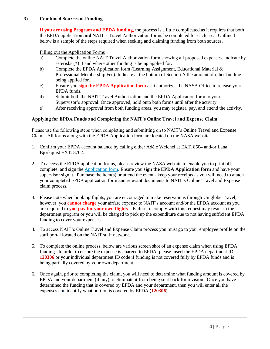# **3) Combined Sources of Funding**

**If you are using Program and EPDA funding,** the process is a little complicated as it requires that both the EPDA application **and** NAIT's Travel Authorization forms be completed for each area. Outlined below is a sample of the steps required when seeking and claiming funding from both sources.

## Filling out the Application Forms

- a) Complete the online NAIT Travel Authorization form showing all proposed expenses. Indicate by asterisks (\*) if and where other funding is being applied for.
- b) Complete the EPDA Application form (Learning Assignment, Educational Material  $\&$ Professional Membership Fee). Indicate at the bottom of Section A the amount of other funding being applied for.
- c) Ensure you **sign the EPDA Application form** as it authorizes the NASA Office to release your EPDA funds.
- d) Submit both the NAIT Travel Authorization and the EPDA Application form to your Supervisor's approval. Once approved, hold onto both forms until after the activity.
- e) After receiving approval from both funding areas, you may register, pay, and attend the activity.

## **Applying for EPDA Funds and Completing the NAIT's Online Travel and Expense Claim**

Please use the following steps when completing and submitting on to NAIT's Online Travel and Expense Claim. All forms along with the EPDA Application form are located on the NASA website.

- 1. Confirm your EPDA account balance by calling either Adèle Weichel at EXT. 8504 and/or Lana Bjorkquist EXT. 8702.
- 2. To access the EPDA application forms, please review the NASA website to enable you to print off, complete, and sign th[e Application form.](https://docs.wixstatic.com/ugd/24141b_1f196dbc91e8469abd88e342ab4218fa.pdf) Ensure you **sign the EPDA Application form** and have your supervisor sign it. Purchase the item(s) or attend the event - keep your receipts as you will need to attach your completed EPDA application form and relevant documents to NAIT's Online Travel and Expense claim process.
- 3. Please note when booking flights, you are encouraged to make reservations through Uniglobe Travel; however, you **cannot charge** your airfare expense to NAIT's account and/or the EPDA account as you are required to **you pay for your own flights**. Failure to comply with this request may result in the department program or you will be charged to pick up the expenditure due to not having sufficient EPDA funding to cover your expenses.
- 4. To access NAIT's Online Travel and Expense Claim process you must go to your employee profile on the staff portal located on the NAIT staff network.
- 5. To complete the online process, below are various screen shot of an expense claim when using EPDA funding. In order to ensure the expense is charged to EPDA, please insert the EPDA department ID **120306** or your individual department ID code if funding is not covered fully by EPDA funds and is being partially covered by your own department.
- 6. Once again, prior to completing the claim, you will need to determine what funding amount is covered by EPDA and your department (if any) to eliminate it from being sent back for revision. Once you have determined the funding that is covered by EPDA and your department, then you will enter all the expenses and identify what portion is covered by EPDA (**120306**).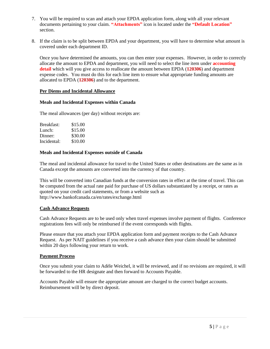- 7. You will be required to scan and attach your EPDA application form, along with all your relevant documents pertaining to your claim. **"Attachments"** icon is located under the **"Default Location"** section.
- 8. If the claim is to be split between EPDA and your department, you will have to determine what amount is covered under each department ID.

Once you have determined the amounts, you can then enter your expenses. However, in order to correctly allocate the amount to EPDA and department, you will need to select the line item under **accounting detail** which will you give access to reallocate the amount between EPDA (**120306**) and department expense codes. You must do this for each line item to ensure what appropriate funding amounts are allocated to EPDA (**120306**) and to the department.

## **Per Diems and Incidental Allowance**

## **Meals and Incidental Expenses within Canada**

The meal allowances (per day) without receipts are:

| Breakfast:  | \$15.00 |
|-------------|---------|
| Lunch:      | \$15.00 |
| Dinner:     | \$30.00 |
| Incidental: | \$10.00 |

## **Meals and Incidental Expenses outside of Canada**

The meal and incidental allowance for travel to the United States or other destinations are the same as in Canada except the amounts are converted into the currency of that country.

This will be converted into Canadian funds at the conversion rates in effect at the time of travel. This can be computed from the actual rate paid for purchase of US dollars substantiated by a receipt, or rates as quoted on your credit card statements, or from a website such as http://www.bankofcanada.ca/en/rates/exchange.html

# **Cash Advance Requests**

Cash Advance Requests are to be used only when travel expenses involve payment of flights. Conference registrations fees will only be reimbursed if the event corresponds with flights.

Please ensure that you attach your EPDA application form and payment receipts to the Cash Advance Request. As per NAIT guidelines if you receive a cash advance then your claim should be submitted within 20 days following your return to work.

## **Payment Process**

Once you submit your claim to Adèle Weichel, it will be reviewed, and if no revisions are required, it will be forwarded to the HR designate and then forward to Accounts Payable.

Accounts Payable will ensure the appropriate amount are charged to the correct budget accounts. Reimbursement will be by direct deposit.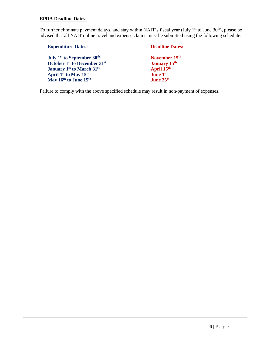# **EPDA Deadline Dates:**

To further eliminate payment delays, and stay within NAIT's fiscal year (July 1<sup>st</sup> to June 30<sup>th</sup>), please be advised that all NAIT online travel and expense claims must be submitted using the following schedule:

| <b>Expenditure Dates:</b>                            | <b>Deadline Dates:</b>    |
|------------------------------------------------------|---------------------------|
| July 1 <sup>st</sup> to September 30 <sup>th</sup>   | November 15 <sup>th</sup> |
| October 1 <sup>st</sup> to December 31 <sup>st</sup> | <b>January 15th</b>       |
| <b>January 1st to March 31st</b>                     | April 15 <sup>th</sup>    |
| April 1 <sup>st</sup> to May 15 <sup>th</sup>        | <b>June 1st</b>           |
| May 16th to June 15th                                | June $25th$               |

Failure to comply with the above specified schedule may result in non-payment of expenses.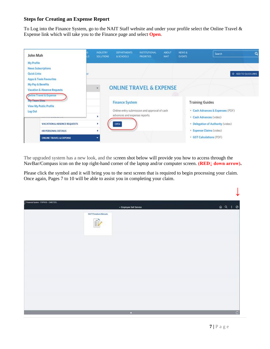# **Steps for Creating an Expense Report**

To Log into the Finance System, go to the NAIT Staff website and under your profile select the Online Travel & Expense link which will take you to the Finance page and select **Open**.



The upgraded system has a new look, and the screen shot below will provide you how to access through the NavBar/Compass icon on the top right-hand corner of the laptop and/or computer screen. **(RED↓ down arrow).**

Please click the symbol and it will bring you to the next screen that is required to begin processing your claim. Once again, Pages 7 to 10 will be able to assist you in completing your claim.

| Financial System - FSPROD - CWIETZEL |                                    | - Employee Self Service | $QQ$ : 0 |              |
|--------------------------------------|------------------------------------|-------------------------|----------|--------------|
|                                      | <b>NAIT Procedure Manuals</b><br>B |                         |          |              |
|                                      |                                    |                         |          |              |
|                                      |                                    |                         |          |              |
|                                      |                                    |                         |          |              |
|                                      |                                    | O.                      |          | $\mathbf{C}$ |

 **↓**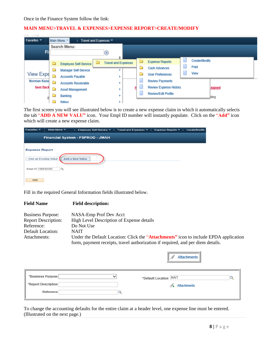## **MAIN MENU>TRAVEL & EXPENSES>EXPENSE REPORT>CREATE/MODIFY**

| contact to the special         |   |                              |                            |  |                               |                      |        |
|--------------------------------|---|------------------------------|----------------------------|--|-------------------------------|----------------------|--------|
| Favorites $\blacktriangledown$ |   | Main Menu ~                  | Travel and Expenses ▼      |  |                               |                      |        |
|                                |   | Search Menu:                 |                            |  |                               |                      |        |
| Fil                            |   |                              | $\circledcirc$             |  |                               |                      |        |
|                                |   |                              | ÷<br>▭                     |  | <b>Expense Reports</b>        | <b>Create/Modify</b> |        |
|                                | ▭ | <b>Employee Self-Service</b> | <b>Travel and Expenses</b> |  |                               | Print                |        |
|                                | □ | <b>Manager Self-Service</b>  |                            |  | <b>Cash Advances</b>          |                      |        |
| <b>View Expe</b>               |   | <b>Accounts Payable</b>      |                            |  | <b>User Preferences</b>       | View                 |        |
| Norman Kaise                   |   | <b>Accounts Receivable</b>   |                            |  | <b>Review Payments</b>        |                      |        |
| Sent Back                      |   | <b>Asset Management</b>      |                            |  | <b>Review Expense History</b> |                      | signed |
|                                |   | Banking                      |                            |  | <b>Review/Edit Profile</b>    |                      | Jding  |
|                                |   | <b>Billing</b>               |                            |  |                               |                      |        |

The first screen you will see illustrated below is to create a new expense claim in which it automatically selects the tab "**ADD A NEW VALU"** icon. Your Empl ID number will instantly populate. Click on the "**Add"** icon which will create a new expense claim.

| Favorites $\blacktriangledown$                         | Main Menu $\blacktriangledown$ | $\rightarrow$                    | Employee Self-Service $\overline{\phantom{a}}$ > Travel and Expenses $\overline{\phantom{a}}$ > Expense Reports $\overline{\phantom{a}}$ > Create/Modify |  |  |
|--------------------------------------------------------|--------------------------------|----------------------------------|----------------------------------------------------------------------------------------------------------------------------------------------------------|--|--|
|                                                        |                                | Financial System - FSPROD - JMAH |                                                                                                                                                          |  |  |
| <b>Expense Report</b><br><b>Find an Existing Value</b> |                                | <b>Add a New Value</b>           |                                                                                                                                                          |  |  |
| Empl ID 100010297                                      | $\overline{\mathbf{a}}$        |                                  |                                                                                                                                                          |  |  |
| Add                                                    |                                |                                  |                                                                                                                                                          |  |  |

Fill in the required General Information fields illustrated below.

## **Field Name Fi**

|  | ield description: |  |
|--|-------------------|--|
|  |                   |  |

| <b>Business Purpose:</b>   | NASA-Emp Prof Dev Acct                                                                                                                                                  |
|----------------------------|-------------------------------------------------------------------------------------------------------------------------------------------------------------------------|
| <b>Report Description:</b> | High Level Description of Expense details                                                                                                                               |
| Reference:                 | Do Not Use                                                                                                                                                              |
| Default Location:          | <b>NAIT</b>                                                                                                                                                             |
| Attachments:               | Under the Default Location: Click the "Attachments" icon to include EPDA application<br>form, payment receipts, travel authorization if required, and per diem details. |

|                     |   | h)<br>Attachments           |  |
|---------------------|---|-----------------------------|--|
| *Business Purpose   | ັ | *Default Location NAIT      |  |
| *Report Description |   | $\mathcal{A}_+$ Attachments |  |
| Reference           |   |                             |  |

To change the accounting defaults for the entire claim at a header level, one expense line must be entered. (Illustrated on the next page.)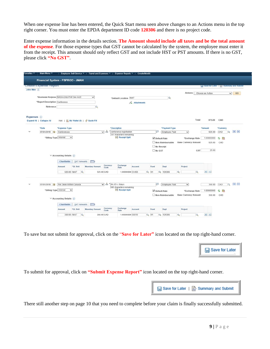When one expense line has been entered, the Quick Start menu seen above changes to an Actions menu in the top right corner. You must enter the EPDA department ID code **120306** and there is no project code.

Enter expense information in the details section. **The Amount should include all taxes and be the total amount of the expense**. For those expense types that GST cannot be calculated by the system, the employee must enter it from the receipt. This amount should only reflect GST and not include HST or PST amounts. If there is no GST, please click **"No GST"**.

|              | Financial System - FSPROD - JMAH         |                                               |                    |                        |                  |                                                     |             |                    |                                |                             |          |                   |        |                                               |         |
|--------------|------------------------------------------|-----------------------------------------------|--------------------|------------------------|------------------|-----------------------------------------------------|-------------|--------------------|--------------------------------|-----------------------------|----------|-------------------|--------|-----------------------------------------------|---------|
|              | <b>Ureate Experise Report</b>            |                                               |                    |                        |                  |                                                     |             |                    |                                |                             |          |                   |        | w Save for Later           Summary and Submit |         |
| John Mah (?) |                                          |                                               |                    |                        |                  |                                                     |             |                    |                                |                             |          |                   |        |                                               |         |
|              | *Business Purpose NASA-Emp Prof Dev Acct |                                               |                    | $\check{~}$            |                  |                                                     |             |                    |                                | Actions                     |          | .Choose an Action |        | $\vee$                                        | GO      |
|              | *Report Description Conference           |                                               |                    |                        |                  | *Default Location NAIT                              |             |                    | $\alpha$                       |                             |          |                   |        |                                               |         |
|              | Reference                                |                                               |                    | $\alpha$               |                  |                                                     | Attachments |                    |                                |                             |          |                   |        |                                               |         |
|              |                                          |                                               |                    |                        |                  |                                                     |             |                    |                                |                             |          |                   |        |                                               |         |
|              | Expenses ?                               |                                               |                    |                        |                  |                                                     |             |                    |                                |                             |          |                   |        |                                               |         |
|              | Expand All   Collapse All                | Add:   圖 My Wallet (0)   参 Quick-Fill         |                    |                        |                  |                                                     |             |                    |                                |                             | Total    |                   | 875.00 | CAD                                           |         |
|              | *Date                                    |                                               |                    |                        |                  | *Description                                        |             |                    |                                |                             |          |                   |        |                                               |         |
|              | 07/01/2019   1                           | *Expense Type<br>Conferences                  |                    |                        | $\sqrt{a}$       | conference registration                             |             | ιzι                | *Payment Type<br>Employee Paid | $\checkmark$                |          | *Amount           | 525.00 | *Currency<br>CAD<br>$\alpha$                  | 田田      |
|              |                                          |                                               |                    |                        |                  | 231 characters remaining                            |             |                    |                                |                             |          |                   |        |                                               |         |
|              | *Billing Type Internal                   | $\check{~}$                                   |                    |                        |                  | <b>DE Receipt Split</b>                             |             | Default Rate       |                                | *Exchange Rate              |          | 1.00000000        |        | $\sim$ $\blacksquare$                         |         |
|              |                                          |                                               |                    |                        |                  |                                                     |             |                    | Non-Reimbursable               | <b>Base Currency Amount</b> |          |                   | 525.00 | CAD                                           |         |
|              |                                          |                                               |                    |                        |                  |                                                     |             | No Receipt         |                                |                             |          |                   |        |                                               |         |
|              |                                          |                                               |                    |                        |                  |                                                     |             |                    |                                |                             |          |                   |        |                                               |         |
|              |                                          |                                               |                    |                        |                  |                                                     |             | No GST             |                                |                             | GST      |                   | 25.00  |                                               |         |
|              |                                          | $\blacktriangledown$ Accounting Details $(2)$ |                    |                        |                  |                                                     |             |                    |                                |                             |          |                   |        |                                               |         |
|              |                                          | <b>Chartfields</b>                            | VAT Amounts        | $E = 1$                |                  |                                                     |             |                    |                                |                             |          |                   |        |                                               |         |
|              |                                          | Amount                                        | *GL Unit           | <b>Monetary Amount</b> | Currency<br>Code | Exchange<br>Rate                                    | Account     | Fund               | Dept                           | Project                     |          |                   |        |                                               |         |
|              |                                          | 525.00 NAIT                                   | $\alpha$           |                        | 525.00 CAD       | 1.00000000 51450                                    |             | $Q$ 01<br>Q        | 120306                         | $\alpha$                    | $\alpha$ | $+$ $-$           |        |                                               |         |
|              |                                          |                                               |                    |                        |                  |                                                     |             |                    |                                |                             |          |                   |        |                                               |         |
|              |                                          |                                               |                    |                        |                  |                                                     |             |                    |                                |                             |          |                   |        |                                               |         |
|              | 07/01/2019 by                            | Per Diem-Within Canada                        |                    |                        | $\sqrt{60}$      | B/L/DI x 5days                                      |             | $\sqrt{n}$         | Employee Paid                  | $\checkmark$                |          |                   | 350.00 | CAD<br>$\circ$                                |         |
|              | *Billing Type Internal                   | $\check{ }$                                   |                    |                        |                  | 240 characters remaining<br><b>Be</b> Receipt Split |             |                    |                                |                             |          |                   |        |                                               |         |
|              |                                          |                                               |                    |                        |                  |                                                     |             | Oefault Rate       |                                | *Exchange Rate              |          | 1.00000000        |        | $\sim$ $\blacksquare$                         |         |
|              |                                          | $\blacktriangledown$ Accounting Details $(2)$ |                    |                        |                  |                                                     |             |                    | Non-Reimbursable               | <b>Base Currency Amount</b> |          |                   | 350.00 | CAD                                           | $+$ $-$ |
|              |                                          | <b>Chartfields</b>                            | <b>VAT Amounts</b> | (FEED)                 |                  |                                                     |             |                    |                                |                             |          |                   |        |                                               |         |
|              |                                          | Amount                                        | *GL Unit           | <b>Monetary Amount</b> | Currency<br>Code | Exchange<br>Rate                                    | Account     | Fund               | Dept                           | Project                     |          |                   |        |                                               |         |
|              |                                          | 350.00 NAIT                                   | $\alpha$           |                        | 350.00 CAD       | 1.00000000 55010                                    |             | $Q$ 01<br>$\alpha$ | 120306                         | Q                           | Q        | $+$ $-$           |        |                                               |         |

To save but not submit for approval, click on the "**Save for Later"** icon located on the top right-hand corner.



To submit for approval, click on **"Submit Expense Report"** icon located on the top right-hand corner.



There still another step on page 10 that you need to complete before your claim is finally successfully submitted.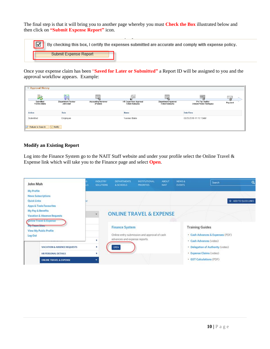The final step is that it will bring you to another page whereby you must **Check the Box** illustrated below and then click on **"Submit Expense Report"** icon.

|                       | By checking this box, I certify the expenses submitted are accurate and comply with expense policy. |
|-----------------------|-----------------------------------------------------------------------------------------------------|
| Submit Expense Report |                                                                                                     |
|                       |                                                                                                     |

Once your expense claim has been "**Saved for Later or Submitted"** a Report ID will be assigned to you and the approval workflow appears. Example:

| <b>Example 2</b> Approval History<br>表<br>Submitted<br>Yvonne Blake | 怎<br><b>Department Review</b><br>John Mah | 喝<br><b>Accounting Reviewer</b><br>(Pooled) | <b>HR Supervisor Approval</b><br>Arden Kobewka | 戰<br>Department Approval<br>Arden Kobewka | m<br>Pre Pay Auditor<br>Octavio Flores Rodriguez | Eal<br>Payment |
|---------------------------------------------------------------------|-------------------------------------------|---------------------------------------------|------------------------------------------------|-------------------------------------------|--------------------------------------------------|----------------|
| <b>Action</b>                                                       | Role                                      |                                             | <b>Name</b>                                    |                                           | Date/Time                                        |                |
| Submitted                                                           | Employee                                  |                                             | Yvonne Blake                                   |                                           | 03/25/2019 11:10:13AM                            |                |
| F Notify<br>Return to Search                                        |                                           |                                             |                                                |                                           |                                                  |                |

## **Modify an Existing Report**

Log into the Finance System go to the NAIT Staff website and under your profile select the Online Travel & Expense link which will take you to the Finance page and select **Open**.

| John Mah                                                                                          |    | <b>INDUSTRY</b><br><b>SOLUTIONS</b> | <b>DEPARTMENTS</b><br>& SCHOOLS       | <b>INSTITUTIONAL</b><br><b>PRIORITIES</b>    | <b>ABOUT</b><br><b>NAIT</b> | NEWS &<br><b>EVENTS</b> | Search                                                                                   | $\circ$            |
|---------------------------------------------------------------------------------------------------|----|-------------------------------------|---------------------------------------|----------------------------------------------|-----------------------------|-------------------------|------------------------------------------------------------------------------------------|--------------------|
| My Profile<br><b>News Subscriptions</b><br><b>Quick Links</b><br>Apps & Tools Favourites          | sr |                                     |                                       |                                              |                             |                         |                                                                                          | ADD TO QUICK LINKS |
| My Pay & Benefits<br><b>Vacation &amp; Absence Requests</b><br><b>Online Travel &amp; Expense</b> |    |                                     |                                       | <b>ONLINE TRAVEL &amp; EXPENSE</b>           |                             |                         |                                                                                          |                    |
| <b>Wy team sites:</b><br>View My Public Profile<br>Log Out                                        |    |                                     | <b>Finance System</b>                 | Online entry submission and approval of cash |                             | <b>Training Guides</b>  | · Cash Advances & Expenses (PDF)                                                         |                    |
| <b>VACATION &amp; ABSENCE REQUESTS</b><br>HR PERSONAL DETAILS                                     |    | ٠<br>٠                              | advances and expense reports.<br>OPEN |                                              |                             |                         | · Cash Advances (video)<br>• Delegation of Authority (video)<br>· Expense Claims (video) |                    |
| <b>ONLINE TRAVEL &amp; EXPENSE</b>                                                                |    |                                     |                                       |                                              |                             |                         | · GST Calculations (PDF)                                                                 |                    |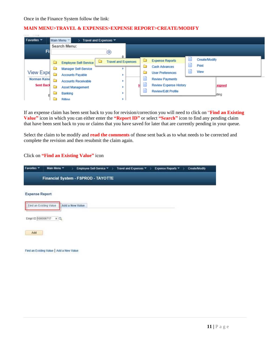## **MAIN MENU>TRAVEL & EXPENSES>EXPENSE REPORT>CREATE/MODIFY**

| Favorites $\blacktriangledown$ |              | Main Menu                    | Travel and Expenses ▼ |                            |                               |               |        |
|--------------------------------|--------------|------------------------------|-----------------------|----------------------------|-------------------------------|---------------|--------|
|                                | Search Menu: |                              |                       |                            |                               |               |        |
| Fi                             |              |                              | $\circledcirc$        | ÷                          |                               |               |        |
|                                | ▭            | <b>Employee Self-Service</b> | ▭                     | <b>Travel and Expenses</b> | <b>Expense Reports</b>        | Create/Modify |        |
|                                | ā            | <b>Manager Self-Service</b>  |                       |                            | <b>Cash Advances</b>          | Print         |        |
| <b>View Expe</b>               |              | <b>Accounts Payable</b>      |                       |                            | <b>User Preferences</b>       | View          |        |
| <b>Norman Kaise</b>            |              | <b>Accounts Receivable</b>   |                       |                            | <b>Review Payments</b>        |               |        |
| <b>Sent Back</b>               |              | <b>Asset Management</b>      |                       |                            | <b>Review Expense History</b> |               | signed |
| E                              |              | Banking                      |                       |                            | <b>Review/Edit Profile</b>    |               | ding   |
|                                |              | <b>Rilling</b>               |                       |                            |                               |               |        |

If an expense claim has been sent back to you for revision/correction you will need to click on "**Find an Existing Value"** icon in which you can either enter the **"Report ID"** or select **"Search"** icon to find any pending claim that have been sent back to you or claims that you have saved for later that are currently pending in your queue.

Select the claim to be modify and **read the comments** of those sent back as to what needs to be corrected and complete the revision and then resubmit the claim again.

# Click on **"Find an Existing Value"** icon

| Favorites =            | Main Menu *                         |                 | Employee Self-Service $\tau$ > | Travel and Expenses * > | Expense Reports | $\rightarrow$ | <b>Create/Modify</b> |
|------------------------|-------------------------------------|-----------------|--------------------------------|-------------------------|-----------------|---------------|----------------------|
|                        | Financial System - FSPROD - TAYOTTE |                 |                                |                         |                 |               |                      |
| <b>Expense Report</b>  |                                     |                 |                                |                         |                 |               |                      |
| Find an Existing Value |                                     | Add a New Value |                                |                         |                 |               |                      |
| Empl ID 100006717      | $\times$ Q                          |                 |                                |                         |                 |               |                      |
| Add                    |                                     |                 |                                |                         |                 |               |                      |
|                        |                                     |                 |                                |                         |                 |               |                      |

Find an Existing Value | Add a New Value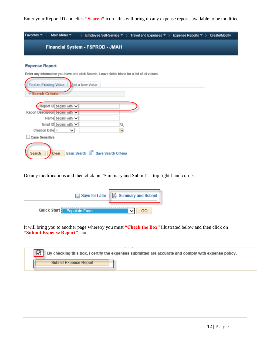Enter your Report ID and click **"Search"** icon– this will bring up any expense reports available to be modified



### **Expense Report**

Enter any information you have and click Search. Leave fields blank for a list of all values.

| <b>Find an Existing Value</b>    |                            | Add a New Value                     |    |  |
|----------------------------------|----------------------------|-------------------------------------|----|--|
| Search Criteria                  |                            |                                     |    |  |
|                                  | Report ID begins with v    |                                     |    |  |
| Report Description begins with v |                            |                                     |    |  |
|                                  | Name begins with $\vee$    |                                     |    |  |
|                                  | Empl ID begins with $\vee$ |                                     |    |  |
| Creation Date $=$                | ◡                          |                                     | ij |  |
| <b>Case Sensitive</b>            |                            |                                     |    |  |
| Clear<br>Search                  |                            | Basic Search & Save Search Criteria |    |  |

Do any modifications and then click on "Summary and Submit" – top right-hand corner

|                                            | <b>a</b> Save for Later   <b>a</b> Summary and Submit |  |  |  |  |
|--------------------------------------------|-------------------------------------------------------|--|--|--|--|
| <b>Quick Start</b><br><b>Populate From</b> |                                                       |  |  |  |  |

It will bring you to another page whereby you must **"Check the Box"** illustrated below and then click on **"Submit Expense Report"** icon.

| $\overline{\mathbf{z}}$<br>By checking this box, I certify the expenses submitted are accurate and comply with expense policy. |  |
|--------------------------------------------------------------------------------------------------------------------------------|--|
| Submit Expense Report                                                                                                          |  |